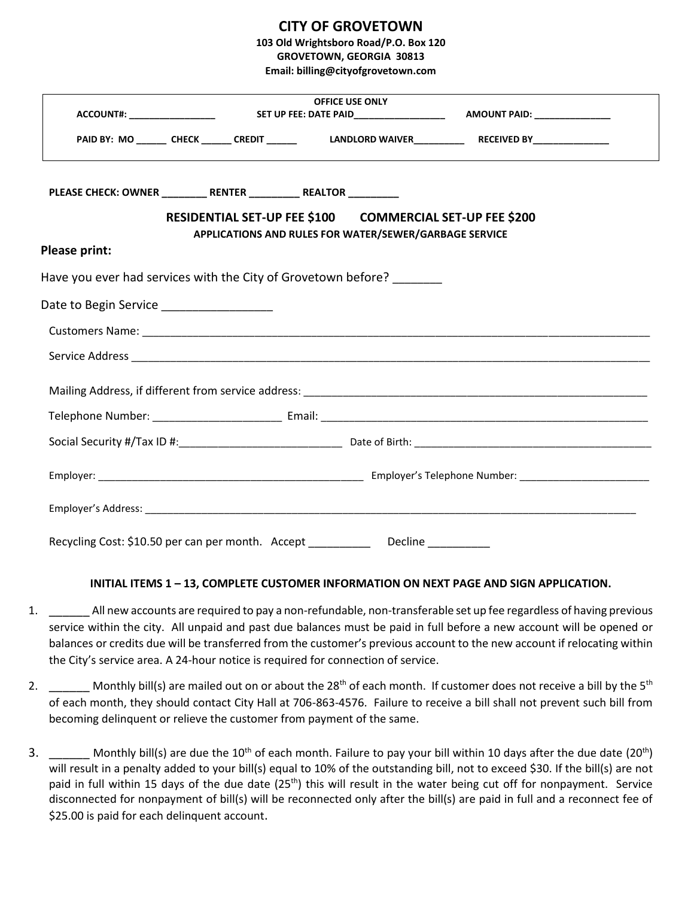## **CITY OF GROVETOWN**

**103 Old Wrightsboro Road/P.O. Box 120**

**GROVETOWN, GEORGIA 30813 Email: billing@cityofgrovetown.com**

|                                                                   | <b>OFFICE USE ONLY</b> |                                                                                                                    |                                                                                                    |  |
|-------------------------------------------------------------------|------------------------|--------------------------------------------------------------------------------------------------------------------|----------------------------------------------------------------------------------------------------|--|
|                                                                   |                        |                                                                                                                    | PAID BY: MO ______ CHECK ______ CREDIT ______ LANDLORD WAIVER__________ RECEIVED BY_______________ |  |
| PLEASE CHECK: OWNER _________ RENTER __________ REALTOR _________ |                        | RESIDENTIAL SET-UP FEE \$100 COMMERCIAL SET-UP FEE \$200<br>APPLICATIONS AND RULES FOR WATER/SEWER/GARBAGE SERVICE |                                                                                                    |  |
| Please print:                                                     |                        |                                                                                                                    |                                                                                                    |  |
|                                                                   |                        | Have you ever had services with the City of Grovetown before?                                                      |                                                                                                    |  |
| Date to Begin Service ___________________                         |                        |                                                                                                                    |                                                                                                    |  |
|                                                                   |                        |                                                                                                                    |                                                                                                    |  |
|                                                                   |                        |                                                                                                                    |                                                                                                    |  |
|                                                                   |                        |                                                                                                                    |                                                                                                    |  |
|                                                                   |                        |                                                                                                                    |                                                                                                    |  |
|                                                                   |                        |                                                                                                                    |                                                                                                    |  |
|                                                                   |                        |                                                                                                                    |                                                                                                    |  |
|                                                                   |                        |                                                                                                                    |                                                                                                    |  |
|                                                                   |                        | Recycling Cost: \$10.50 per can per month. Accept _____________ Decline _________                                  |                                                                                                    |  |

## **INITIAL ITEMS 1 – 13, COMPLETE CUSTOMER INFORMATION ON NEXT PAGE AND SIGN APPLICATION.**

- 1. \_\_\_\_\_\_ All new accounts are required to pay a non-refundable, non-transferable set up fee regardless of having previous service within the city. All unpaid and past due balances must be paid in full before a new account will be opened or balances or credits due will be transferred from the customer's previous account to the new account if relocating within the City's service area. A 24-hour notice is required for connection of service.
- 2. Monthly bill(s) are mailed out on or about the  $28<sup>th</sup>$  of each month. If customer does not receive a bill by the  $5<sup>th</sup>$ of each month, they should contact City Hall at 706-863-4576. Failure to receive a bill shall not prevent such bill from becoming delinquent or relieve the customer from payment of the same.
- 3.  $\frac{1}{2}$  Monthly bill(s) are due the 10<sup>th</sup> of each month. Failure to pay your bill within 10 days after the due date (20<sup>th</sup>) will result in a penalty added to your bill(s) equal to 10% of the outstanding bill, not to exceed \$30. If the bill(s) are not paid in full within 15 days of the due date (25<sup>th</sup>) this will result in the water being cut off for nonpayment. Service disconnected for nonpayment of bill(s) will be reconnected only after the bill(s) are paid in full and a reconnect fee of \$25.00 is paid for each delinquent account.